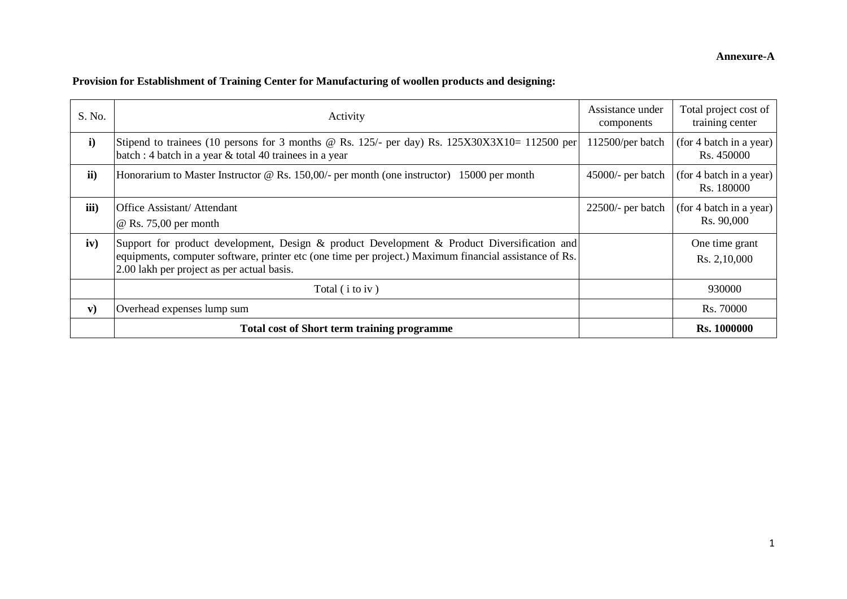### **Provision for Establishment of Training Center for Manufacturing of woollen products and designing:**

| S. No.        | Activity                                                                                                                                                                                                                                            | Assistance under<br>components | Total project cost of<br>training center |
|---------------|-----------------------------------------------------------------------------------------------------------------------------------------------------------------------------------------------------------------------------------------------------|--------------------------------|------------------------------------------|
| $\mathbf{i}$  | Stipend to trainees (10 persons for 3 months @ Rs. 125/- per day) Rs. 125X30X3X10= 112500 per<br>batch : 4 batch in a year & total 40 trainees in a year                                                                                            | 112500/per batch               | (for 4 batch in a year)<br>Rs. 450000    |
| $\mathbf{ii}$ | Honorarium to Master Instructor @ Rs. $150,00/$ - per month (one instructor) 15000 per month                                                                                                                                                        | $45000$ - per batch            | (for 4 batch in a year)<br>Rs. 180000    |
| iii)          | <b>Office Assistant/ Attendant</b><br>$\omega$ Rs. 75,00 per month                                                                                                                                                                                  | $22500/-$ per batch            | (for 4 batch in a year)<br>Rs. 90,000    |
| iv)           | Support for product development, Design & product Development & Product Diversification and<br>equipments, computer software, printer etc (one time per project.) Maximum financial assistance of Rs.<br>2.00 lakh per project as per actual basis. |                                | One time grant<br>Rs. 2,10,000           |
|               | Total (i to iv)                                                                                                                                                                                                                                     |                                | 930000                                   |
| $\mathbf{v})$ | Overhead expenses lump sum                                                                                                                                                                                                                          |                                | Rs. 70000                                |
|               | <b>Total cost of Short term training programme</b>                                                                                                                                                                                                  |                                | <b>Rs. 1000000</b>                       |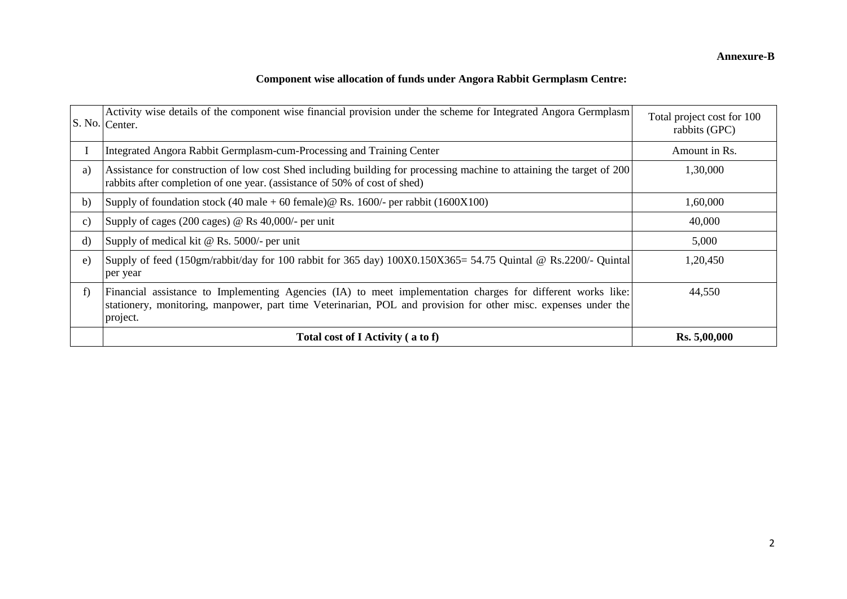# **Component wise allocation of funds under Angora Rabbit Germplasm Centre:**

|    | Activity wise details of the component wise financial provision under the scheme for Integrated Angora Germplasm<br>S. No. Center.                                                                                                        | Total project cost for 100<br>rabbits (GPC) |
|----|-------------------------------------------------------------------------------------------------------------------------------------------------------------------------------------------------------------------------------------------|---------------------------------------------|
|    | Integrated Angora Rabbit Germplasm-cum-Processing and Training Center                                                                                                                                                                     | Amount in Rs.                               |
| a) | Assistance for construction of low cost Shed including building for processing machine to attaining the target of 200<br>rabbits after completion of one year. (assistance of 50% of cost of shed)                                        | 1,30,000                                    |
| b) | Supply of foundation stock (40 male + 60 female) @ Rs. $1600/-$ per rabbit (1600X100)                                                                                                                                                     | 1,60,000                                    |
| C) | Supply of cages (200 cages) $\omega$ Rs 40,000/- per unit                                                                                                                                                                                 | 40,000                                      |
| d) | Supply of medical kit @ Rs. 5000/- per unit                                                                                                                                                                                               | 5,000                                       |
| e) | Supply of feed (150gm/rabbit/day for 100 rabbit for 365 day) 100X0.150X365= 54.75 Quintal @ Rs.2200/- Quintal<br>per year                                                                                                                 | 1,20,450                                    |
| f) | Financial assistance to Implementing Agencies (IA) to meet implementation charges for different works like:<br>stationery, monitoring, manpower, part time Veterinarian, POL and provision for other misc. expenses under the<br>project. | 44,550                                      |
|    | Total cost of I Activity (a to f)                                                                                                                                                                                                         | Rs. 5,00,000                                |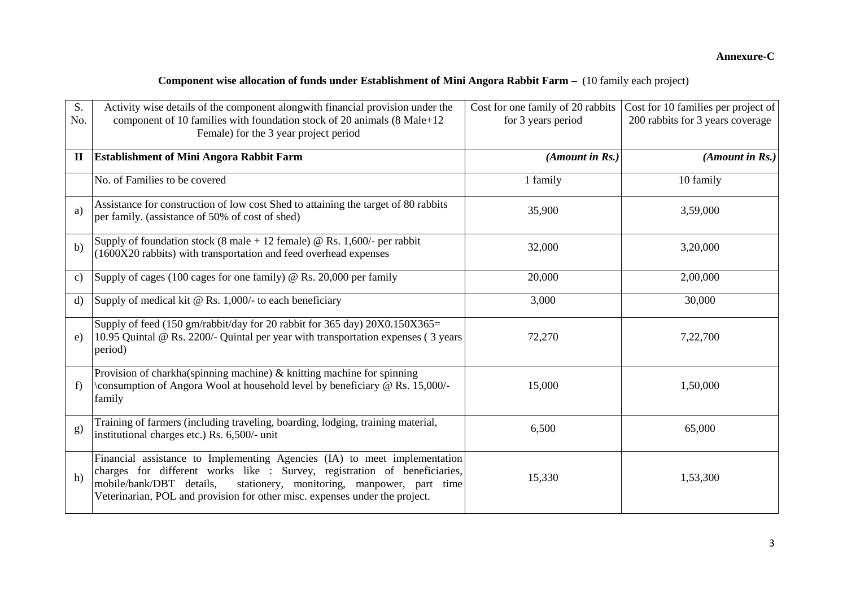# **Component wise allocation of funds under Establishment of Mini Angora Rabbit Farm –** (10 family each project)

| S.<br>No.    | Activity wise details of the component alongwith financial provision under the<br>component of 10 families with foundation stock of 20 animals (8 Male+12<br>Female) for the 3 year project period                                                                                                               | Cost for one family of 20 rabbits<br>for 3 years period | Cost for 10 families per project of<br>200 rabbits for 3 years coverage |
|--------------|------------------------------------------------------------------------------------------------------------------------------------------------------------------------------------------------------------------------------------------------------------------------------------------------------------------|---------------------------------------------------------|-------------------------------------------------------------------------|
| $\mathbf{I}$ | <b>Establishment of Mini Angora Rabbit Farm</b>                                                                                                                                                                                                                                                                  | $(A$ <i>mount in Rs.</i> )                              | $(A$ <i>mount in Rs.</i> )                                              |
|              | No. of Families to be covered                                                                                                                                                                                                                                                                                    | 1 family                                                | 10 family                                                               |
| a)           | Assistance for construction of low cost Shed to attaining the target of 80 rabbits<br>per family. (assistance of 50% of cost of shed)                                                                                                                                                                            | 35,900                                                  | 3,59,000                                                                |
| b)           | Supply of foundation stock (8 male + 12 female) @ Rs. 1,600/- per rabbit<br>(1600X20 rabbits) with transportation and feed overhead expenses                                                                                                                                                                     | 32,000                                                  | 3,20,000                                                                |
| C)           | Supply of cages (100 cages for one family) $\omega$ Rs. 20,000 per family                                                                                                                                                                                                                                        | 20,000                                                  | 2,00,000                                                                |
| d)           | Supply of medical kit $\omega$ Rs. 1,000/- to each beneficiary                                                                                                                                                                                                                                                   | 3,000                                                   | 30,000                                                                  |
| e)           | Supply of feed (150 gm/rabbit/day for 20 rabbit for 365 day) 20X0.150X365=<br>10.95 Quintal @ Rs. 2200/- Quintal per year with transportation expenses (3 years<br>period)                                                                                                                                       | 72,270                                                  | 7,22,700                                                                |
| f            | Provision of charkha(spinning machine) $\&$ knitting machine for spinning<br>\consumption of Angora Wool at household level by beneficiary @ Rs. 15,000/-<br>family                                                                                                                                              | 15,000                                                  | 1,50,000                                                                |
| g)           | Training of farmers (including traveling, boarding, lodging, training material,<br>institutional charges etc.) Rs. 6,500/- unit                                                                                                                                                                                  | 6,500                                                   | 65,000                                                                  |
| h)           | Financial assistance to Implementing Agencies (IA) to meet implementation<br>charges for different works like : Survey, registration of beneficiaries,<br>mobile/bank/DBT details,<br>stationery, monitoring, manpower, part time<br>Veterinarian, POL and provision for other misc. expenses under the project. | 15,330                                                  | 1,53,300                                                                |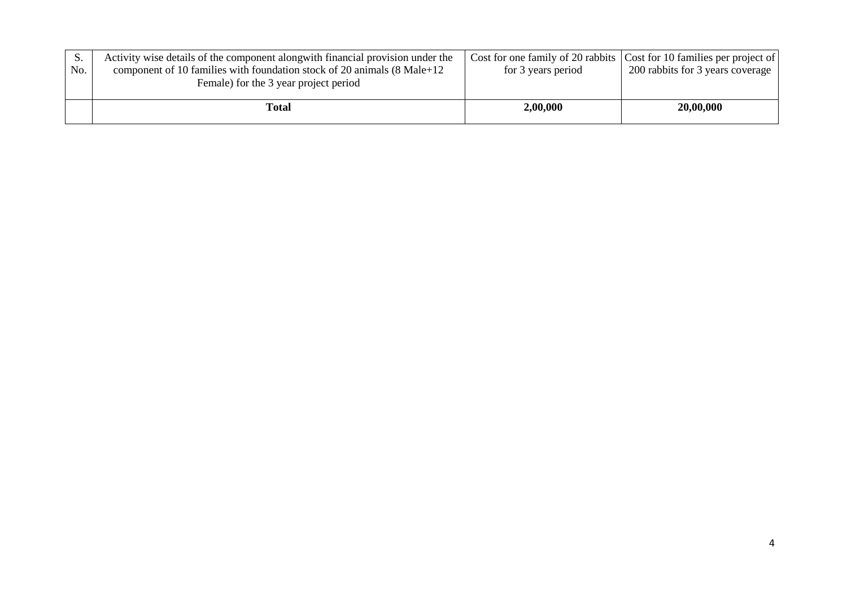| No. | Activity wise details of the component alongwith financial provision under the<br>component of 10 families with foundation stock of 20 animals $(8 \text{ Male}+12)$<br>Female) for the 3 year project period | for 3 years period | Cost for one family of 20 rabbits Cost for 10 families per project of<br>200 rabbits for 3 years coverage |
|-----|---------------------------------------------------------------------------------------------------------------------------------------------------------------------------------------------------------------|--------------------|-----------------------------------------------------------------------------------------------------------|
|     | Total                                                                                                                                                                                                         | 2,00,000           | 20,00,000                                                                                                 |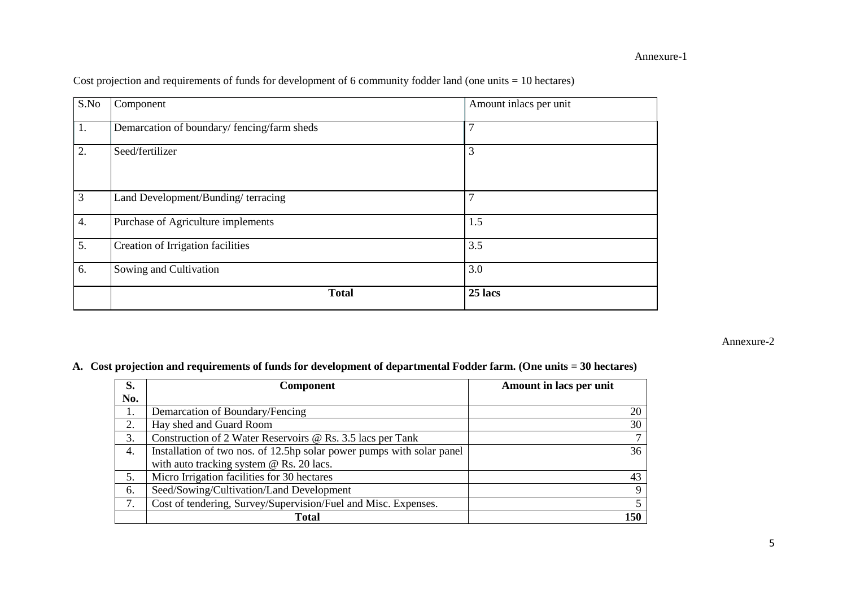| S.No             | Component                                  | Amount inlacs per unit |
|------------------|--------------------------------------------|------------------------|
| 1.               | Demarcation of boundary/fencing/farm sheds | 7                      |
| 2.               | Seed/fertilizer                            | 3                      |
| 3                | Land Development/Bunding/terracing         |                        |
| $\overline{4}$ . | Purchase of Agriculture implements         | 1.5                    |
| 5.               | Creation of Irrigation facilities          | 3.5                    |
| 6.               | Sowing and Cultivation                     | 3.0                    |
|                  | <b>Total</b>                               | 25 lacs                |

Cost projection and requirements of funds for development of 6 community fodder land (one units = 10 hectares)

#### Annexure-2

### **A. Cost projection and requirements of funds for development of departmental Fodder farm. (One units = 30 hectares)**

| S.  | <b>Component</b>                                                      | Amount in lacs per unit |
|-----|-----------------------------------------------------------------------|-------------------------|
| No. |                                                                       |                         |
| 1.  | Demarcation of Boundary/Fencing                                       | 20                      |
| 2.  | Hay shed and Guard Room                                               | 30                      |
| 3.  | Construction of 2 Water Reservoirs @ Rs. 3.5 lacs per Tank            | $\tau$                  |
| 4.  | Installation of two nos. of 12.5hp solar power pumps with solar panel | 36                      |
|     | with auto tracking system @ Rs. 20 lacs.                              |                         |
| 5.  | Micro Irrigation facilities for 30 hectares                           | 43                      |
| 6.  | Seed/Sowing/Cultivation/Land Development                              | 9                       |
| 7.  | Cost of tendering, Survey/Supervision/Fuel and Misc. Expenses.        | 5                       |
|     | <b>Total</b>                                                          | 150                     |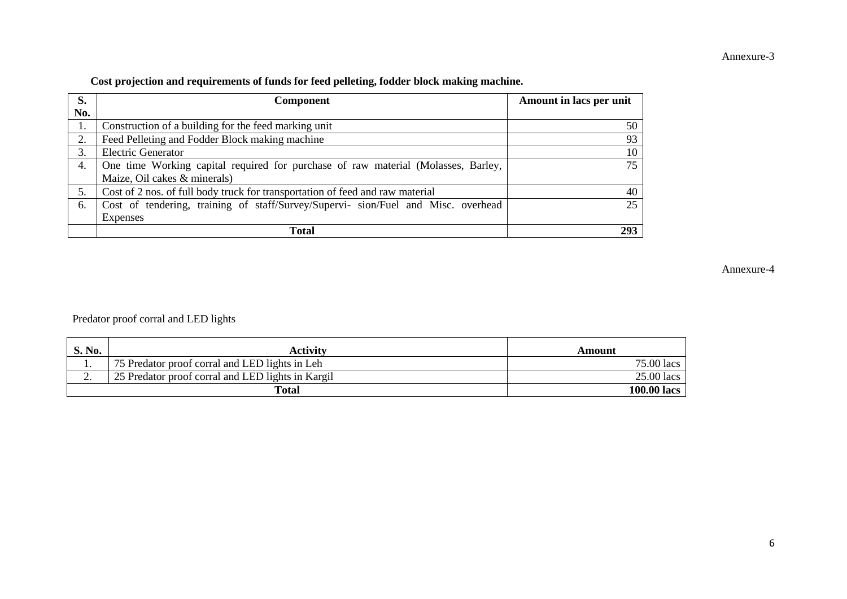| Cost projection and requirements of funds for feed pelleting, fodder block making machine. |  |  |  |
|--------------------------------------------------------------------------------------------|--|--|--|
|                                                                                            |  |  |  |

| S.  | <b>Component</b>                                                                  | Amount in lacs per unit |
|-----|-----------------------------------------------------------------------------------|-------------------------|
| No. |                                                                                   |                         |
| 1.  | Construction of a building for the feed marking unit                              | 50                      |
| 2.  | Feed Pelleting and Fodder Block making machine                                    | 93                      |
| 3.  | <b>Electric Generator</b>                                                         | 10                      |
| 4.  | One time Working capital required for purchase of raw material (Molasses, Barley, | 75                      |
|     | Maize, Oil cakes & minerals)                                                      |                         |
| 5.  | Cost of 2 nos. of full body truck for transportation of feed and raw material     | 40                      |
| 6.  | Cost of tendering, training of staff/Survey/Supervi- sion/Fuel and Misc. overhead | 25                      |
|     | Expenses                                                                          |                         |
|     | <b>Total</b>                                                                      | 293                     |

Annexure-4

## Predator proof corral and LED lights

| S. No.   | Activitv                                          | Amount       |
|----------|---------------------------------------------------|--------------|
|          | 75 Predator proof corral and LED lights in Leh    | 75.00 lacs   |
| <u>.</u> | 25 Predator proof corral and LED lights in Kargil | $25.00$ lacs |
|          | <b>Total</b>                                      | 100.00 lacs  |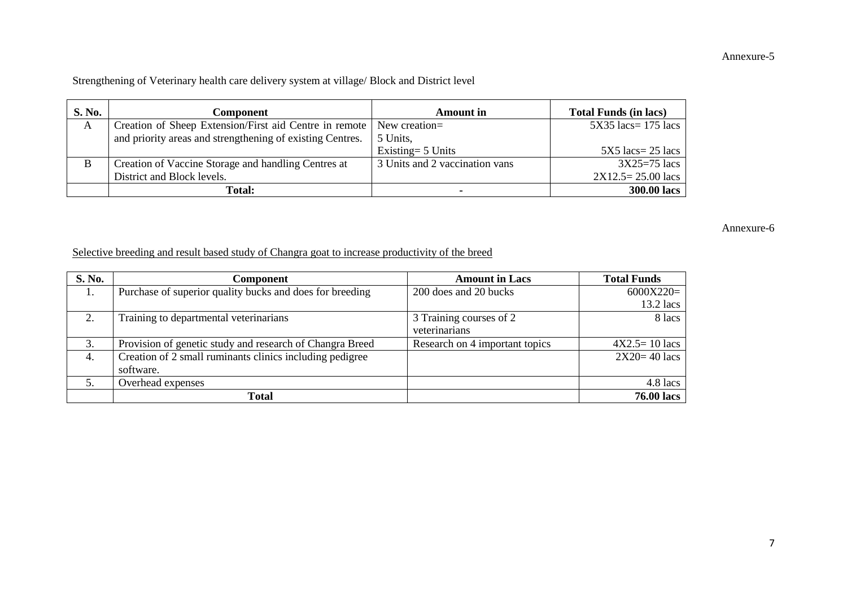# Strengthening of Veterinary health care delivery system at village/ Block and District level

| <b>S. No.</b> | Component                                                              | <b>Amount</b> in               | <b>Total Funds (in lacs)</b> |
|---------------|------------------------------------------------------------------------|--------------------------------|------------------------------|
| A             | Creation of Sheep Extension/First aid Centre in remote   New creation= |                                | $5X35$ lacs= 175 lacs        |
|               | and priority areas and strengthening of existing Centres.              | 5 Units,                       |                              |
|               |                                                                        | Existing $=$ 5 Units           | $5X5$ lacs= 25 lacs          |
| B             | Creation of Vaccine Storage and handling Centres at                    | 3 Units and 2 vaccination vans | $3X25=75$ lacs               |
|               | District and Block levels.                                             |                                | $2X12.5 = 25.00$ lacs        |
|               | <b>Total:</b>                                                          |                                | 300.00 lacs                  |

#### Annexure-6

### Selective breeding and result based study of Changra goat to increase productivity of the breed

| <b>S. No.</b> | Component                                                | <b>Amount in Lacs</b>          | <b>Total Funds</b> |
|---------------|----------------------------------------------------------|--------------------------------|--------------------|
| 1.            | Purchase of superior quality bucks and does for breeding | 200 does and 20 bucks          | $6000X220=$        |
|               |                                                          |                                | 13.2 lacs          |
| 2.            | Training to departmental veterinarians                   | 3 Training courses of 2        | 8 lacs             |
|               |                                                          | veterinarians                  |                    |
| 3.            | Provision of genetic study and research of Changra Breed | Research on 4 important topics | $4X2.5 = 10$ lacs  |
| 4.            | Creation of 2 small ruminants clinics including pedigree |                                | $2X20=40$ lacs     |
|               | software.                                                |                                |                    |
|               | Overhead expenses                                        |                                | $4.8$ lacs         |
|               | <b>Total</b>                                             |                                | <b>76.00 lacs</b>  |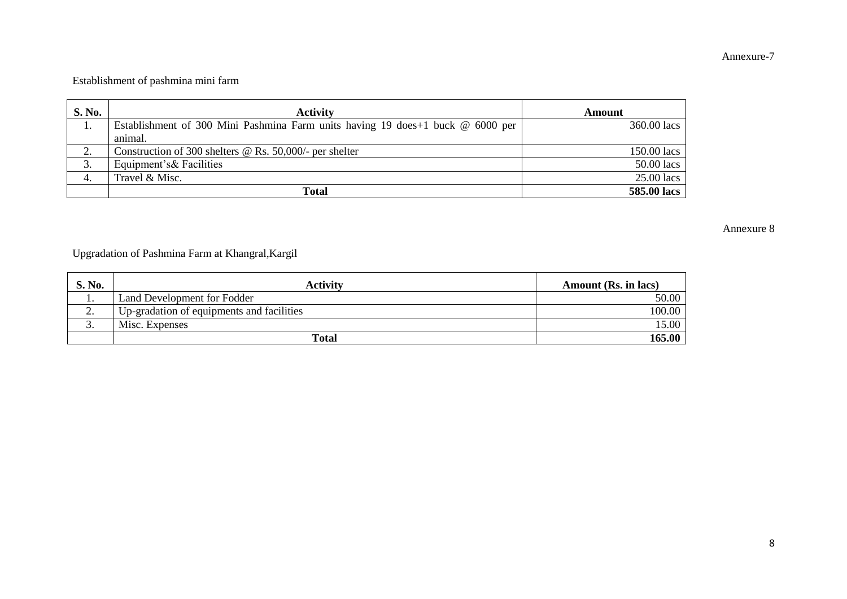# Establishment of pashmina mini farm

| S. No.                 | <b>Activity</b>                                                                        | Amount       |
|------------------------|----------------------------------------------------------------------------------------|--------------|
|                        | Establishment of 300 Mini Pashmina Farm units having 19 does +1 buck $\omega$ 6000 per | 360.00 lacs  |
|                        | animal.                                                                                |              |
| $\bigcap$<br><u>L.</u> | Construction of 300 shelters $\omega$ Rs. 50,000/- per shelter                         | 150.00 lacs  |
| 3.                     | Equipment's & Facilities                                                               | 50.00 lacs   |
| 4.                     | Travel & Misc.                                                                         | $25.00$ lacs |
|                        | <b>Total</b>                                                                           | 585.00 lacs  |

#### Annexure 8

# Upgradation of Pashmina Farm at Khangral,Kargil

| S. No. | <b>Activity</b>                           | Amount (Rs. in lacs) |
|--------|-------------------------------------------|----------------------|
| . .    | Land Development for Fodder               | 50.00                |
| ٠.     | Up-gradation of equipments and facilities | 100.00               |
| J.     | Misc. Expenses                            | 15.00                |
|        | <b>Total</b>                              | 165.00               |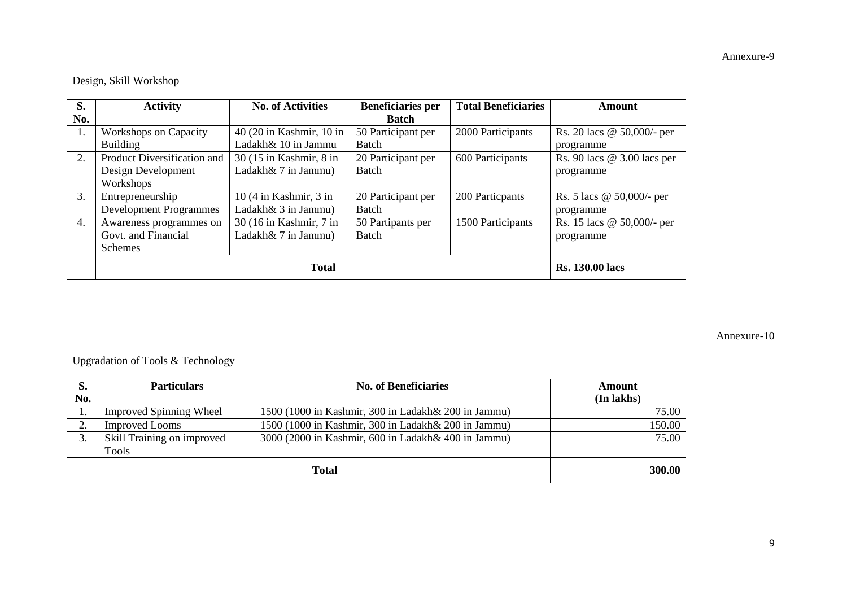## Design, Skill Workshop

| S.               | <b>Activity</b>               | <b>No. of Activities</b>                  | <b>Beneficiaries per</b> | <b>Total Beneficiaries</b> | Amount                            |
|------------------|-------------------------------|-------------------------------------------|--------------------------|----------------------------|-----------------------------------|
| No.              |                               |                                           | <b>Batch</b>             |                            |                                   |
| 1.               | <b>Workshops on Capacity</b>  | $40(20 \text{ in Kashmir}, 10 \text{ in}$ | 50 Participant per       | 2000 Participants          | Rs. 20 lacs $\omega$ 50,000/- per |
|                  | <b>Building</b>               | Ladakh& 10 in Jammu                       | <b>Batch</b>             |                            | programme                         |
| 2.               | Product Diversification and   | 30 (15 in Kashmir, 8 in                   | 20 Participant per       | 600 Participants           | Rs. 90 lacs $@$ 3.00 lacs per     |
|                  | Design Development            | Ladakh& 7 in Jammu)                       | <b>Batch</b>             |                            | programme                         |
|                  | Workshops                     |                                           |                          |                            |                                   |
| 3.               | Entrepreneurship              | $10(4$ in Kashmir, $3$ in                 | 20 Participant per       | 200 Particpants            | Rs. 5 lacs $@$ 50,000/- per       |
|                  | <b>Development Programmes</b> | Ladakh& 3 in Jammu)                       | <b>Batch</b>             |                            | programme                         |
| $\overline{4}$ . | Awareness programmes on       | 30 (16 in Kashmir, 7 in                   | 50 Partipants per        | 1500 Participants          | Rs. 15 lacs @ 50,000/- per        |
|                  | Govt. and Financial           | Ladakh& 7 in Jammu)                       | Batch                    |                            | programme                         |
|                  | <b>Schemes</b>                |                                           |                          |                            |                                   |
|                  | <b>Total</b>                  |                                           |                          | <b>Rs. 130.00 lacs</b>     |                                   |

#### Annexure-10

# Upgradation of Tools & Technology

| S.       | <b>Particulars</b>             | <b>No. of Beneficiaries</b>                         | Amount     |
|----------|--------------------------------|-----------------------------------------------------|------------|
| No.      |                                |                                                     | (In lakhs) |
| ī.       | <b>Improved Spinning Wheel</b> | 1500 (1000 in Kashmir, 300 in Ladakh& 200 in Jammu) | 75.00      |
| ◠<br>ـ ـ | <b>Improved Looms</b>          | 1500 (1000 in Kashmir, 300 in Ladakh& 200 in Jammu) | 150.00     |
| ⌒<br>3.  | Skill Training on improved     | 3000 (2000 in Kashmir, 600 in Ladakh& 400 in Jammu) | 75.00      |
|          | Tools                          |                                                     |            |
|          |                                | <b>Total</b>                                        | 300.00     |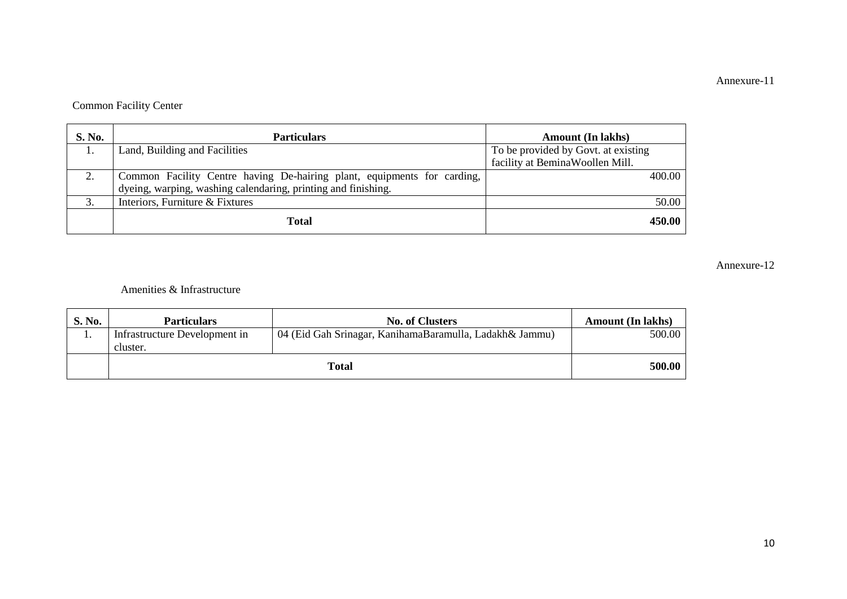# Common Facility Center

| S. No. | <b>Particulars</b>                                                      | <b>Amount</b> (In lakhs)            |
|--------|-------------------------------------------------------------------------|-------------------------------------|
|        | Land, Building and Facilities                                           | To be provided by Govt. at existing |
|        |                                                                         | facility at BeminaWoollen Mill.     |
|        | Common Facility Centre having De-hairing plant, equipments for carding, | 400.00                              |
|        | dyeing, warping, washing calendaring, printing and finishing.           |                                     |
| 3      | Interiors, Furniture & Fixtures                                         | 50.00                               |
|        | <b>Total</b>                                                            | 450.00                              |

Annexure-12

Amenities & Infrastructure

| S. No. | <b>Particulars</b>                        | <b>No. of Clusters</b>                                  | <b>Amount</b> (In lakhs) |
|--------|-------------------------------------------|---------------------------------------------------------|--------------------------|
|        | Infrastructure Development in<br>cluster. | 04 (Eid Gah Srinagar, KanihamaBaramulla, Ladakh& Jammu) | 500.00                   |
|        |                                           | <b>Total</b>                                            | 500.00                   |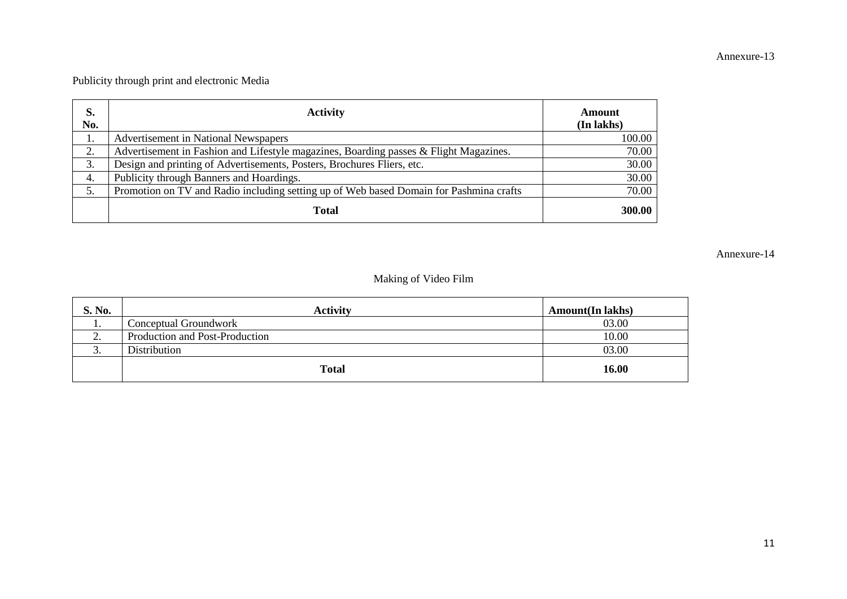Publicity through print and electronic Media

| S.<br>No. | <b>Activity</b>                                                                        | Amount<br>(In lakhs) |
|-----------|----------------------------------------------------------------------------------------|----------------------|
| 1.        | <b>Advertisement in National Newspapers</b>                                            | 100.00               |
| ↑<br>۷.   | Advertisement in Fashion and Lifestyle magazines, Boarding passes & Flight Magazines.  | 70.00                |
| 3.        | Design and printing of Advertisements, Posters, Brochures Fliers, etc.                 | 30.00                |
| 4.        | Publicity through Banners and Hoardings.                                               | 30.00                |
|           | Promotion on TV and Radio including setting up of Web based Domain for Pashmina crafts | 70.00                |
|           | <b>Total</b>                                                                           | 300.00               |

Annexure-14

## Making of Video Film

| S. No.  | <b>Activity</b>                | <b>Amount</b> (In lakhs) |
|---------|--------------------------------|--------------------------|
| . .     | Conceptual Groundwork          | 03.00                    |
| ◠<br>∠. | Production and Post-Production | 10.00                    |
| ⌒<br>J. | Distribution                   | 03.00                    |
|         | <b>Total</b>                   | 16.00                    |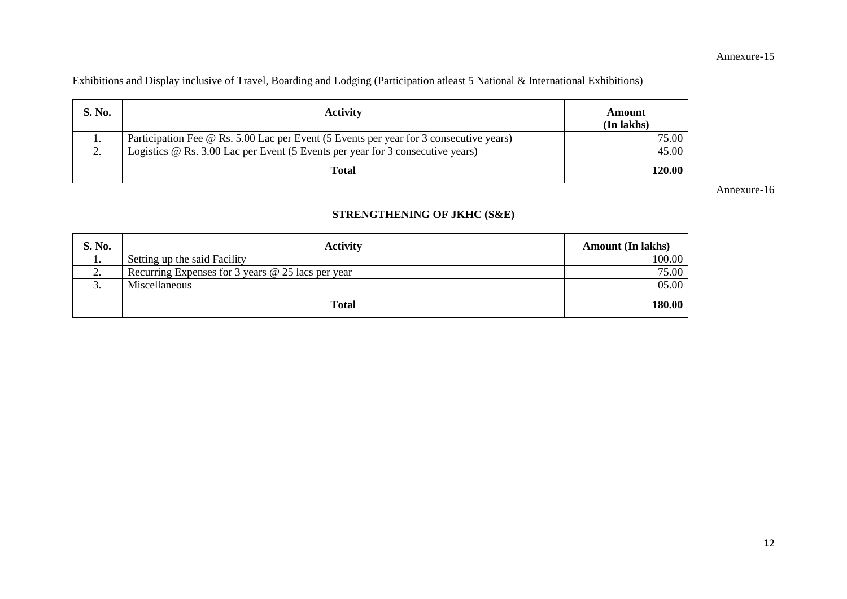Exhibitions and Display inclusive of Travel, Boarding and Lodging (Participation atleast 5 National & International Exhibitions)

| <b>S. No.</b>          | <b>Activity</b>                                                                        | Amount<br>(In lakhs) |
|------------------------|----------------------------------------------------------------------------------------|----------------------|
|                        | Participation Fee @ Rs. 5.00 Lac per Event (5 Events per year for 3 consecutive years) | 75.00                |
| $\bigcap$<br><u>L.</u> | Logistics @ Rs. 3.00 Lac per Event (5 Events per year for 3 consecutive years)         | 45.00                |
|                        | <b>Total</b>                                                                           | 120.00               |

Annexure-16

## **STRENGTHENING OF JKHC (S&E)**

| <b>S. No.</b>           | <b>Activity</b>                                   | <b>Amount</b> (In lakhs) |
|-------------------------|---------------------------------------------------|--------------------------|
|                         | Setting up the said Facility                      | 100.00                   |
| $\bigcap$<br><u>L</u> . | Recurring Expenses for 3 years @ 25 lacs per year | 75.00                    |
| ຸ                       | Miscellaneous                                     | 05.00                    |
|                         | Total                                             | 180.00                   |